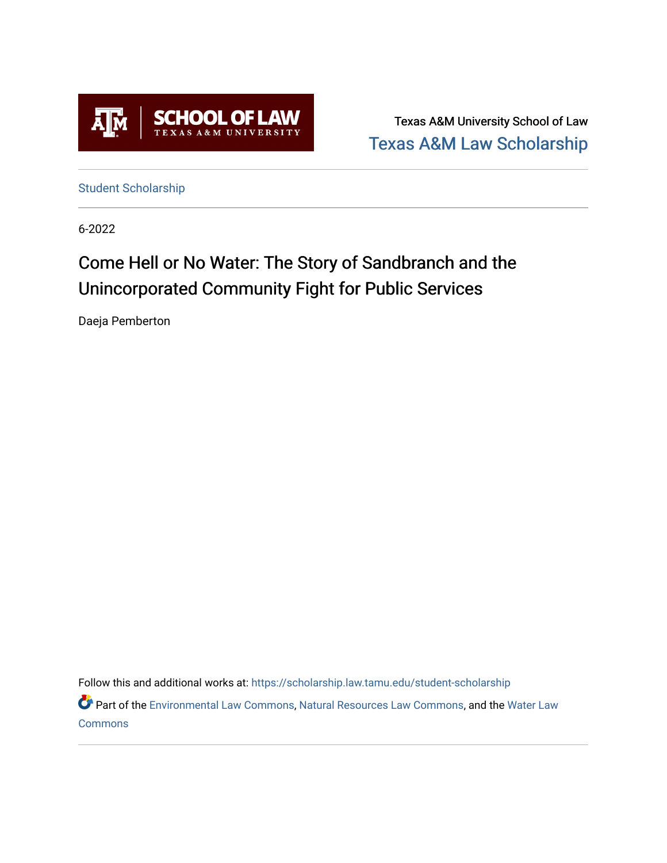

Texas A&M University School of Law [Texas A&M Law Scholarship](https://scholarship.law.tamu.edu/) 

[Student Scholarship](https://scholarship.law.tamu.edu/student-scholarship)

6-2022

# Come Hell or No Water: The Story of Sandbranch and the Unincorporated Community Fight for Public Services

Daeja Pemberton

Follow this and additional works at: [https://scholarship.law.tamu.edu/student-scholarship](https://scholarship.law.tamu.edu/student-scholarship?utm_source=scholarship.law.tamu.edu%2Fstudent-scholarship%2F39&utm_medium=PDF&utm_campaign=PDFCoverPages) 

Part of the [Environmental Law Commons](https://network.bepress.com/hgg/discipline/599?utm_source=scholarship.law.tamu.edu%2Fstudent-scholarship%2F39&utm_medium=PDF&utm_campaign=PDFCoverPages), [Natural Resources Law Commons,](https://network.bepress.com/hgg/discipline/863?utm_source=scholarship.law.tamu.edu%2Fstudent-scholarship%2F39&utm_medium=PDF&utm_campaign=PDFCoverPages) and the [Water Law](https://network.bepress.com/hgg/discipline/887?utm_source=scholarship.law.tamu.edu%2Fstudent-scholarship%2F39&utm_medium=PDF&utm_campaign=PDFCoverPages)  **[Commons](https://network.bepress.com/hgg/discipline/887?utm_source=scholarship.law.tamu.edu%2Fstudent-scholarship%2F39&utm_medium=PDF&utm_campaign=PDFCoverPages)**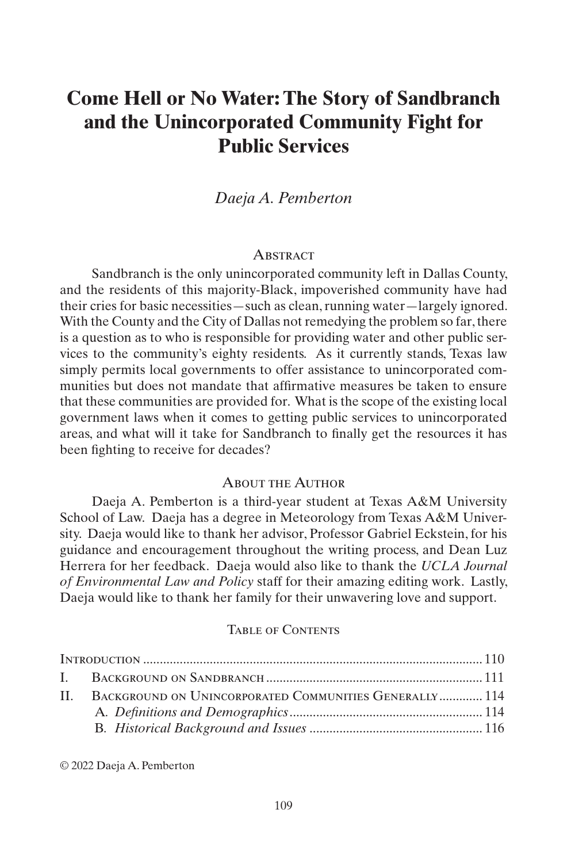# **Come Hell or No Water: The Story of Sandbranch and the Unincorporated Community Fight for Public Services**

# *Daeja A. Pemberton*

#### **ABSTRACT**

Sandbranch is the only unincorporated community left in Dallas County, and the residents of this majority-Black, impoverished community have had their cries for basic necessities—such as clean, running water—largely ignored. With the County and the City of Dallas not remedying the problem so far, there is a question as to who is responsible for providing water and other public services to the community's eighty residents. As it currently stands, Texas law simply permits local governments to offer assistance to unincorporated communities but does not mandate that affirmative measures be taken to ensure that these communities are provided for. What is the scope of the existing local government laws when it comes to getting public services to unincorporated areas, and what will it take for Sandbranch to finally get the resources it has been fighting to receive for decades?

#### About the Author

Daeja A. Pemberton is a third-year student at Texas A&M University School of Law. Daeja has a degree in Meteorology from Texas A&M University. Daeja would like to thank her advisor, Professor Gabriel Eckstein, for his guidance and encouragement throughout the writing process, and Dean Luz Herrera for her feedback. Daeja would also like to thank the *UCLA Journal of Environmental Law and Policy* staff for their amazing editing work. Lastly, Daeja would like to thank her family for their unwavering love and support.

#### Table of Contents

| II. BACKGROUND ON UNINCORPORATED COMMUNITIES GENERALLY 114 |  |
|------------------------------------------------------------|--|
|                                                            |  |
|                                                            |  |
|                                                            |  |

© 2022 Daeja A. Pemberton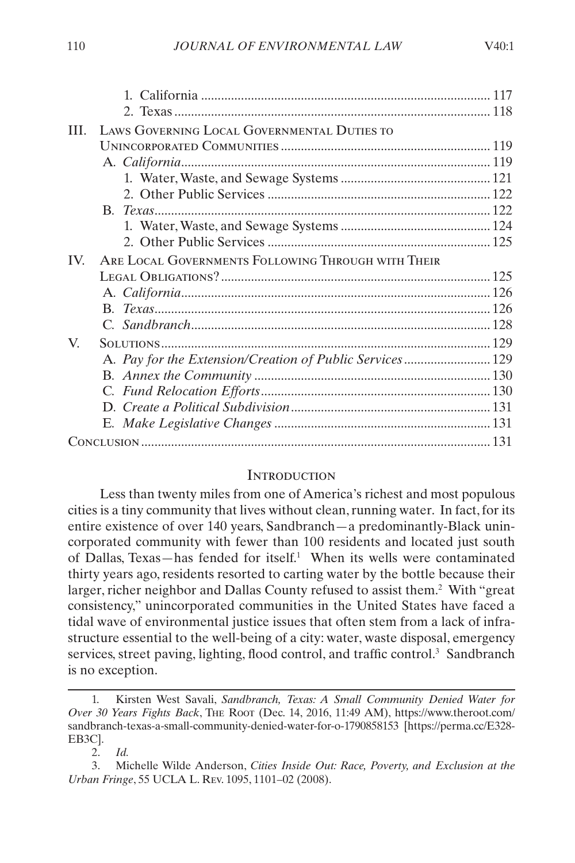<span id="page-2-0"></span>

| III.     | LAWS GOVERNING LOCAL GOVERNMENTAL DUTIES TO              |  |
|----------|----------------------------------------------------------|--|
|          |                                                          |  |
|          |                                                          |  |
|          |                                                          |  |
|          |                                                          |  |
|          |                                                          |  |
|          |                                                          |  |
|          |                                                          |  |
| $IV_{-}$ | ARE LOCAL GOVERNMENTS FOLLOWING THROUGH WITH THEIR       |  |
|          |                                                          |  |
|          |                                                          |  |
|          |                                                          |  |
|          |                                                          |  |
| V.       |                                                          |  |
|          | A. Pay for the Extension/Creation of Public Services 129 |  |
|          |                                                          |  |
|          |                                                          |  |
|          |                                                          |  |
|          |                                                          |  |
|          |                                                          |  |
|          |                                                          |  |

#### **INTRODUCTION**

Less than twenty miles from one of America's richest and most populous cities is a tiny community that lives without clean, running water. In fact, for its entire existence of over 140 years, Sandbranch—a predominantly-Black unincorporated community with fewer than 100 residents and located just south of Dallas, Texas—has fended for itself.<sup>1</sup> When its wells were contaminated thirty years ago, residents resorted to carting water by the bottle because their larger, richer neighbor and Dallas County refused to assist them.<sup>2</sup> With "great consistency," unincorporated communities in the United States have faced a tidal wave of environmental justice issues that often stem from a lack of infrastructure essential to the well-being of a city: water, waste disposal, emergency services, street paving, lighting, flood control, and traffic control.<sup>3</sup> Sandbranch is no exception.

<sup>1.</sup> Kirsten West Savali, *Sandbranch, Texas: A Small Community Denied Water for Over 30 Years Fights Back*, The Root (Dec. 14, 2016, 11:49 AM), https://www.theroot.com/ sandbranch-texas-a-small-community-denied-water-for-o-1790858153 [https://perma.cc/E328- EB3C].

<sup>2.</sup> *Id.*

<sup>3.</sup> Michelle Wilde Anderson, *Cities Inside Out: Race, Poverty, and Exclusion at the Urban Fringe*, 55 UCLA L. Rev. 1095, 1101–02 (2008).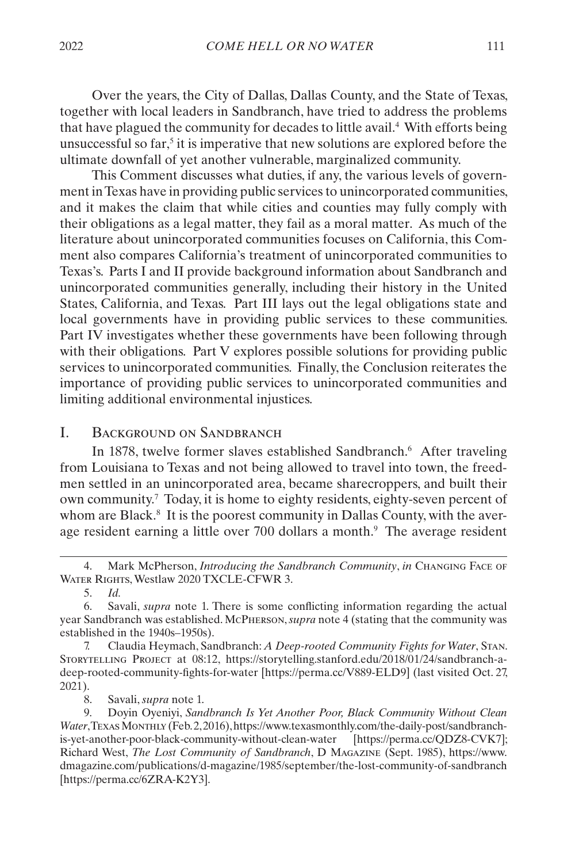<span id="page-3-0"></span>Over the years, the City of Dallas, Dallas County, and the State of Texas, together with local leaders in Sandbranch, have tried to address the problems that have plagued the community for decades to little avail.4 With efforts being unsuccessful so  $far$ ,<sup>5</sup> it is imperative that new solutions are explored before the ultimate downfall of yet another vulnerable, marginalized community.

This Comment discusses what duties, if any, the various levels of government in Texas have in providing public services to unincorporated communities, and it makes the claim that while cities and counties may fully comply with their obligations as a legal matter, they fail as a moral matter. As much of the literature about unincorporated communities focuses on California, this Comment also compares California's treatment of unincorporated communities to Texas's. Parts [I](#page-3-1) and [II](#page-6-1) provide background information about Sandbranch and unincorporated communities generally, including their history in the United States, California, and Texas. Part [III](#page-11-1) lays out the legal obligations state and local governments have in providing public services to these communities. Part [IV](#page-17-1) investigates whether these governments have been following through with their obligations. Part [V](#page-21-1) explores possible solutions for providing public services to unincorporated communities. Finally, the Conclusion reiterates the importance of providing public services to unincorporated communities and limiting additional environmental injustices.

# <span id="page-3-1"></span>I. BACKGROUND ON SANDBRANCH

In 1878, twelve former slaves established Sandbranch.<sup>6</sup> After traveling from Louisiana to Texas and not being allowed to travel into town, the freedmen settled in an unincorporated area, became sharecroppers, and built their own community.7 Today, it is home to eighty residents, eighty-seven percent of whom are Black.<sup>8</sup> It is the poorest community in Dallas County, with the average resident earning a little over 700 dollars a month.<sup>9</sup> The average resident

8. Savali, *supra* note 1.

<sup>4.</sup> Mark McPherson, *Introducing the Sandbranch Community*, *in* Changing Face of Water Rights, Westlaw 2020 TXCLE-CFWR 3.

<sup>5.</sup> *Id.*

<sup>6.</sup> Savali, *supra* note 1. There is some conflicting information regarding the actual year Sandbranch was established. McPherson, *supra* note 4 (stating that the community was established in the 1940s–1950s).

<sup>7.</sup> Claudia Heymach, Sandbranch: *A Deep-rooted Community Fights for Water*, Stan. Storytelling Project at 08:12, https://storytelling.stanford.edu/2018/01/24/sandbranch-adeep-rooted-community-fights-for-water [https://perma.cc/V889-ELD9] (last visited Oct. 27, 2021).

<sup>9.</sup> Doyin Oyeniyi, *Sandbranch Is Yet Another Poor, Black Community Without Clean Water*, Texas Monthly (Feb. 2, 2016), https://www.texasmonthly.com/the-daily-post/sandbranchis-yet-another-poor-black-community-without-clean-water [https://perma.cc/QDZ8-CVK7]; Richard West, *The Lost Community of Sandbranch*, D Magazine (Sept. 1985), https://www. dmagazine.com/publications/d-magazine/1985/september/the-lost-community-of-sandbranch [https://perma.cc/6ZRA-K2Y3].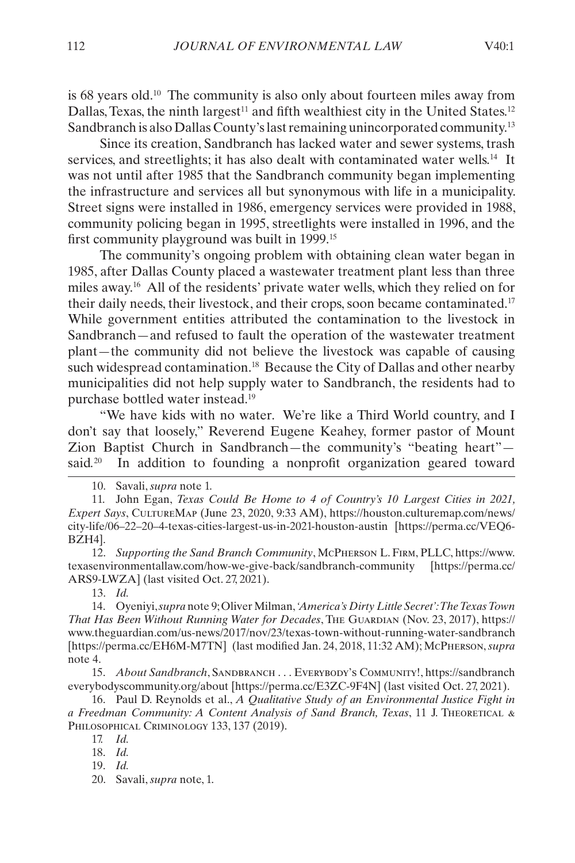is 68 years old.10 The community is also only about fourteen miles away from Dallas, Texas, the ninth largest<sup>11</sup> and fifth wealthiest city in the United States.<sup>12</sup> Sandbranch is also Dallas County's last remaining unincorporated community.13

Since its creation, Sandbranch has lacked water and sewer systems, trash services, and streetlights; it has also dealt with contaminated water wells.14 It was not until after 1985 that the Sandbranch community began implementing the infrastructure and services all but synonymous with life in a municipality. Street signs were installed in 1986, emergency services were provided in 1988, community policing began in 1995, streetlights were installed in 1996, and the first community playground was built in 1999.15

The community's ongoing problem with obtaining clean water began in 1985, after Dallas County placed a wastewater treatment plant less than three miles away.16 All of the residents' private water wells, which they relied on for their daily needs, their livestock, and their crops, soon became contaminated.17 While government entities attributed the contamination to the livestock in Sandbranch—and refused to fault the operation of the wastewater treatment plant—the community did not believe the livestock was capable of causing such widespread contamination.<sup>18</sup> Because the City of Dallas and other nearby municipalities did not help supply water to Sandbranch, the residents had to purchase bottled water instead.19

"We have kids with no water. We're like a Third World country, and I don't say that loosely," Reverend Eugene Keahey, former pastor of Mount Zion Baptist Church in Sandbranch—the community's "beating heart" said*.* In addition to founding a nonprofit organization geared toward

12. *Supporting the Sand Branch Community*, McPherson L. Firm, PLLC, https://www. texasenvironmentallaw.com/how-we-give-back/sandbranch-community [https://perma.cc/ ARS9-LWZA] (last visited Oct. 27, 2021).

13. *Id.*

14. Oyeniyi, *supra* note 9; Oliver Milman, *'America's Dirty Little Secret': The Texas Town That Has Been Without Running Water for Decades*, The Guardian (Nov. 23, 2017), https:// www.theguardian.com/us-news/2017/nov/23/texas-town-without-running-water-sandbranch [https://perma.cc/EH6M-M7TN] (last modified Jan. 24, 2018, 11:32 AM); McPherson, *supra* note 4.

15. *About Sandbranch*, Sandbranch . . . Everybody's Community!, https://sandbranch everybodyscommunity.org/about [https://perma.cc/E3ZC-9F4N] (last visited Oct. 27, 2021).

16. Paul D. Reynolds et al., *A Qualitative Study of an Environmental Justice Fight in a Freedman Community: A Content Analysis of Sand Branch, Texas*, 11 J. Theoretical & PHILOSOPHICAL CRIMINOLOGY 133, 137 (2019).

17. *Id.*

18. *Id.*

19. *Id.*

<sup>10.</sup> Savali, *supra* note 1.

<sup>11.</sup> John Egan, *Texas Could Be Home to 4 of Country's 10 Largest Cities in 2021, Expert Says*, CultureMap (June 23, 2020, 9:33 AM), https://houston.culturemap.com/news/ city-life/06–22–20–4-texas-cities-largest-us-in-2021-houston-austin [https://perma.cc/VEQ6- BZH4].

<sup>20.</sup> Savali, *supra* note, 1.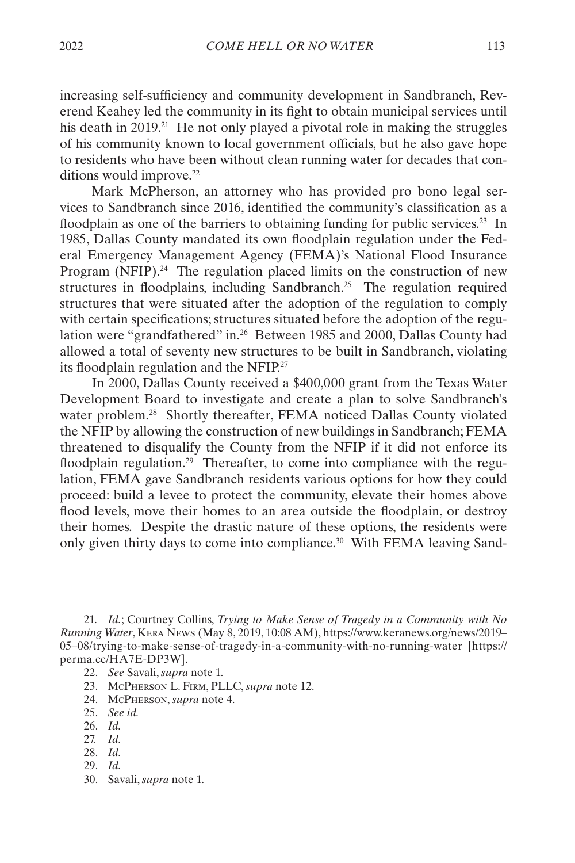increasing self-sufficiency and community development in Sandbranch, Reverend Keahey led the community in its fight to obtain municipal services until his death in 2019.<sup>21</sup> He not only played a pivotal role in making the struggles of his community known to local government officials, but he also gave hope to residents who have been without clean running water for decades that conditions would improve.<sup>22</sup>

Mark McPherson, an attorney who has provided pro bono legal services to Sandbranch since 2016, identified the community's classification as a floodplain as one of the barriers to obtaining funding for public services.<sup>23</sup> In 1985, Dallas County mandated its own floodplain regulation under the Federal Emergency Management Agency (FEMA)'s National Flood Insurance Program  $(NFIP).<sup>24</sup>$  The regulation placed limits on the construction of new structures in floodplains, including Sandbranch.<sup>25</sup> The regulation required structures that were situated after the adoption of the regulation to comply with certain specifications; structures situated before the adoption of the regulation were "grandfathered" in.26 Between 1985 and 2000, Dallas County had allowed a total of seventy new structures to be built in Sandbranch, violating its floodplain regulation and the NFIP.27

In 2000, Dallas County received a \$400,000 grant from the Texas Water Development Board to investigate and create a plan to solve Sandbranch's water problem.<sup>28</sup> Shortly thereafter, FEMA noticed Dallas County violated the NFIP by allowing the construction of new buildings in Sandbranch; FEMA threatened to disqualify the County from the NFIP if it did not enforce its floodplain regulation.<sup>29</sup> Thereafter, to come into compliance with the regulation, FEMA gave Sandbranch residents various options for how they could proceed: build a levee to protect the community, elevate their homes above flood levels, move their homes to an area outside the floodplain, or destroy their homes. Despite the drastic nature of these options, the residents were only given thirty days to come into compliance.<sup>30</sup> With FEMA leaving Sand-

24. McPherson, *supra* note 4.

- 26. *Id.*
- 27. *Id.*
- 28. *Id.*
- 29. *Id.*
- 30. Savali, *supra* note 1.

<sup>21.</sup> *Id.*; Courtney Collins, *Trying to Make Sense of Tragedy in a Community with No Running Water*, Kera News (May 8, 2019, 10:08 AM), https://www.keranews.org/news/2019– 05–08/trying-to-make-sense-of-tragedy-in-a-community-with-no-running-water [https:// perma.cc/HA7E-DP3W].

<sup>22.</sup> *See* Savali, *supra* note 1.

<sup>23.</sup> McPherson L. Firm, PLLC, *supra* note 12.

<sup>25.</sup> *See id.*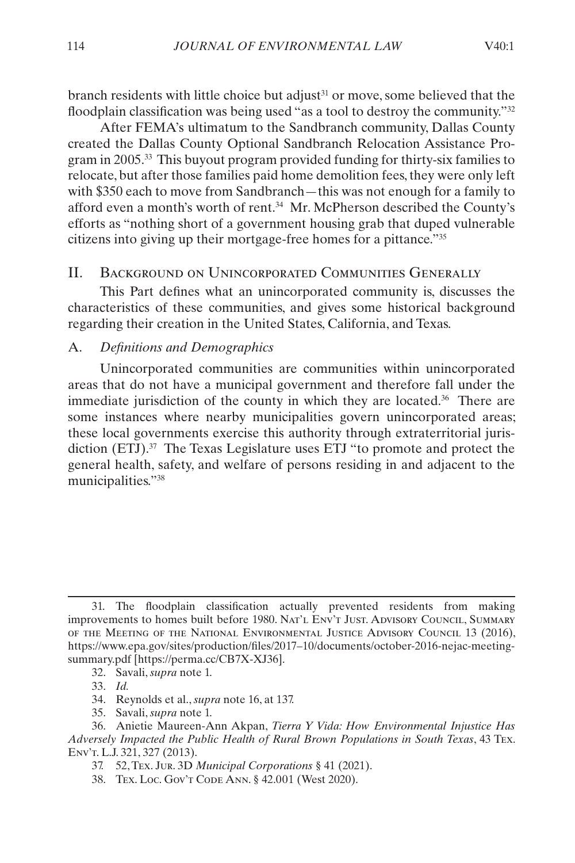<span id="page-6-0"></span>branch residents with little choice but adjust<sup>31</sup> or move, some believed that the floodplain classification was being used "as a tool to destroy the community."<sup>32</sup>

After FEMA's ultimatum to the Sandbranch community, Dallas County created the Dallas County Optional Sandbranch Relocation Assistance Program in 2005.33 This buyout program provided funding for thirty-six families to relocate, but after those families paid home demolition fees, they were only left with \$350 each to move from Sandbranch—this was not enough for a family to afford even a month's worth of rent.34 Mr. McPherson described the County's efforts as "nothing short of a government housing grab that duped vulnerable citizens into giving up their mortgage-free homes for a pittance."35

# <span id="page-6-1"></span>II. BACKGROUND ON UNINCORPORATED COMMUNITIES GENERALLY

This Part defines what an unincorporated community is, discusses the characteristics of these communities, and gives some historical background regarding their creation in the United States, California, and Texas.

#### A. *Definitions and Demographics*

Unincorporated communities are communities within unincorporated areas that do not have a municipal government and therefore fall under the immediate jurisdiction of the county in which they are located.36 There are some instances where nearby municipalities govern unincorporated areas; these local governments exercise this authority through extraterritorial jurisdiction (ETJ).<sup>37</sup> The Texas Legislature uses ETJ "to promote and protect the general health, safety, and welfare of persons residing in and adjacent to the municipalities."38

37. 52, Tex. Jur. 3D *Municipal Corporations* § 41 (2021).

<sup>31.</sup> The floodplain classification actually prevented residents from making improvements to homes built before 1980. Nat'l Env't Just. Advisory Council, Summary of the Meeting of the National Environmental Justice Advisory Council 13 (2016), https://www.epa.gov/sites/production/files/2017–10/documents/october-2016-nejac-meetingsummary.pdf [https://perma.cc/CB7X-XJ36].

<sup>32.</sup> Savali, *supra* note 1.

<sup>33.</sup> *Id.*

<sup>34.</sup> Reynolds et al., *supra* note 16, at 137.

<sup>35.</sup> Savali, *supra* note 1.

<sup>36.</sup> Anietie Maureen-Ann Akpan, *Tierra Y Vida: How Environmental Injustice Has Adversely Impacted the Public Health of Rural Brown Populations in South Texas*, 43 Tex. Env't. L.J. 321, 327 (2013).

<sup>38.</sup> Tex. Loc. Gov't Code Ann. § 42.001 (West 2020).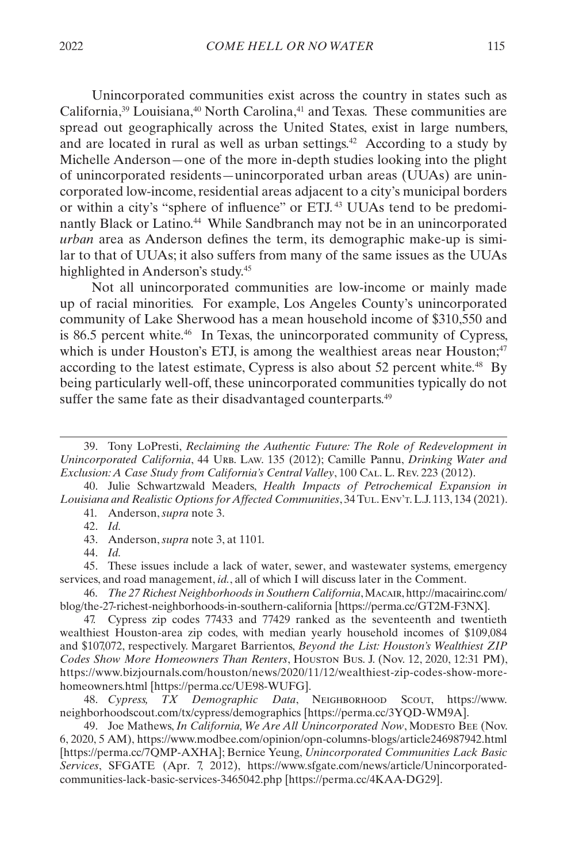Unincorporated communities exist across the country in states such as California,<sup>39</sup> Louisiana,<sup>40</sup> North Carolina,<sup>41</sup> and Texas. These communities are spread out geographically across the United States, exist in large numbers, and are located in rural as well as urban settings.<sup>42</sup> According to a study by Michelle Anderson—one of the more in-depth studies looking into the plight of unincorporated residents—unincorporated urban areas (UUAs) are unincorporated low-income, residential areas adjacent to a city's municipal borders or within a city's "sphere of influence" or ETJ. 43 UUAs tend to be predominantly Black or Latino.<sup>44</sup> While Sandbranch may not be in an unincorporated *urban* area as Anderson defines the term, its demographic make-up is similar to that of UUAs; it also suffers from many of the same issues as the UUAs highlighted in Anderson's study.45

Not all unincorporated communities are low-income or mainly made up of racial minorities. For example, Los Angeles County's unincorporated community of Lake Sherwood has a mean household income of \$310,550 and is 86.5 percent white.<sup>46</sup> In Texas, the unincorporated community of Cypress, which is under Houston's ETJ, is among the wealthiest areas near Houston;<sup>47</sup> according to the latest estimate, Cypress is also about 52 percent white.<sup>48</sup> By being particularly well-off, these unincorporated communities typically do not suffer the same fate as their disadvantaged counterparts.<sup>49</sup>

40. Julie Schwartzwald Meaders, *Health Impacts of Petrochemical Expansion in Louisiana and Realistic Options for Affected Communities*, 34 Tul. Env't. L.J. 113, 134 (2021). 41. Anderson, *supra* note 3.

44. *Id.*

45. These issues include a lack of water, sewer, and wastewater systems, emergency services, and road management, *id.*, all of which I will discuss later in the Comment.

46. *The 27 Richest Neighborhoods in Southern California*, Macair, http://macairinc.com/ blog/the-27-richest-neighborhoods-in-southern-california [https://perma.cc/GT2M-F3NX].

47. Cypress zip codes 77433 and 77429 ranked as the seventeenth and twentieth wealthiest Houston-area zip codes, with median yearly household incomes of \$109,084 and \$107,072, respectively. Margaret Barrientos, *Beyond the List: Houston's Wealthiest ZIP Codes Show More Homeowners Than Renters*, Houston Bus. J. (Nov. 12, 2020, 12:31 PM), https://www.bizjournals.com/houston/news/2020/11/12/wealthiest-zip-codes-show-morehomeowners.html [https://perma.cc/UE98-WUFG].

48. *Cypress, TX Demographic Data*, Neighborhood Scout, https://www. neighborhoodscout.com/tx/cypress/demographics [https://perma.cc/3YQD-WM9A].

49. Joe Mathews, *In California, We Are All Unincorporated Now*, Modesto Bee (Nov. 6, 2020, 5 AM), https://www.modbee.com/opinion/opn-columns-blogs/article246987942.html [https://perma.cc/7QMP-AXHA]; Bernice Yeung, *Unincorporated Communities Lack Basic Services*, SFGATE (Apr. 7, 2012), https://www.sfgate.com/news/article/Unincorporatedcommunities-lack-basic-services-3465042.php [https://perma.cc/4KAA-DG29].

<sup>39.</sup> Tony LoPresti, *Reclaiming the Authentic Future: The Role of Redevelopment in Unincorporated California*, 44 URB. Law. 135 (2012); Camille Pannu, *Drinking Water and Exclusion: A Case Study from California's Central Valley*, 100 Cal. L. Rev. 223 (2012).

<sup>42.</sup> *Id.*

<sup>43.</sup> Anderson, *supra* note 3, at 1101.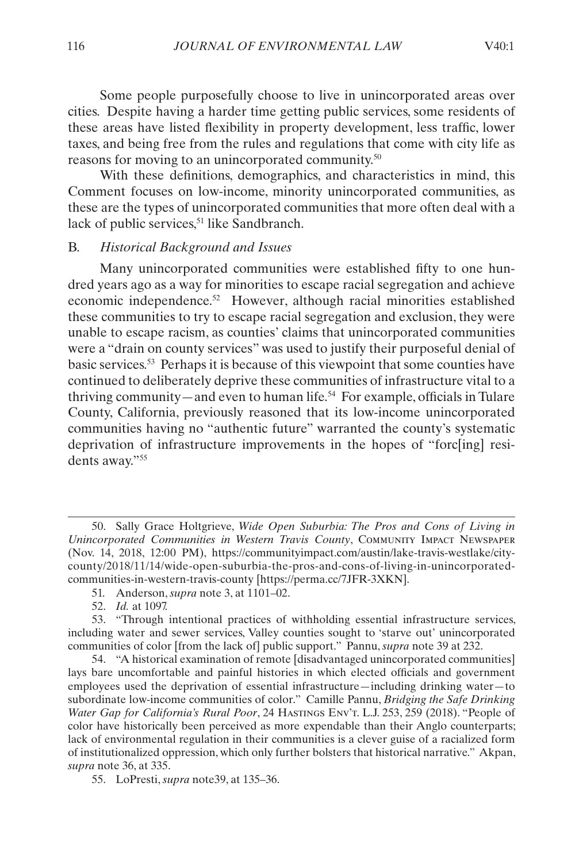<span id="page-8-0"></span>Some people purposefully choose to live in unincorporated areas over cities. Despite having a harder time getting public services, some residents of these areas have listed flexibility in property development, less traffic, lower taxes, and being free from the rules and regulations that come with city life as reasons for moving to an unincorporated community.50

With these definitions, demographics, and characteristics in mind, this Comment focuses on low-income, minority unincorporated communities, as these are the types of unincorporated communities that more often deal with a lack of public services,<sup>51</sup> like Sandbranch.

#### B. *Historical Background and Issues*

Many unincorporated communities were established fifty to one hundred years ago as a way for minorities to escape racial segregation and achieve economic independence.52 However, although racial minorities established these communities to try to escape racial segregation and exclusion, they were unable to escape racism, as counties' claims that unincorporated communities were a "drain on county services" was used to justify their purposeful denial of basic services.53 Perhaps it is because of this viewpoint that some counties have continued to deliberately deprive these communities of infrastructure vital to a thriving community—and even to human life.54 For example, officials in Tulare County, California, previously reasoned that its low-income unincorporated communities having no "authentic future" warranted the county's systematic deprivation of infrastructure improvements in the hopes of "forc[ing] residents away."55

<sup>50.</sup> Sally Grace Holtgrieve, *Wide Open Suburbia: The Pros and Cons of Living in Unincorporated Communities in Western Travis County*, Community Impact Newspaper (Nov. 14, 2018, 12:00 PM), https://communityimpact.com/austin/lake-travis-westlake/citycounty/2018/11/14/wide-open-suburbia-the-pros-and-cons-of-living-in-unincorporatedcommunities-in-western-travis-county [https://perma.cc/7JFR-3XKN].

<sup>51.</sup> Anderson, *supra* note 3, at 1101–02.

<sup>52.</sup> *Id.* at 1097.

<sup>53.</sup> "Through intentional practices of withholding essential infrastructure services, including water and sewer services, Valley counties sought to 'starve out' unincorporated communities of color [from the lack of] public support." Pannu, *supra* note 39 at 232.

<sup>54.</sup> "A historical examination of remote [disadvantaged unincorporated communities] lays bare uncomfortable and painful histories in which elected officials and government employees used the deprivation of essential infrastructure—including drinking water—to subordinate low-income communities of color." Camille Pannu, *Bridging the Safe Drinking Water Gap for California's Rural Poor*, 24 Hastings Env't. L.J. 253, 259 (2018). "People of color have historically been perceived as more expendable than their Anglo counterparts; lack of environmental regulation in their communities is a clever guise of a racialized form of institutionalized oppression, which only further bolsters that historical narrative." Akpan, *supra* note 36, at 335.

<sup>55.</sup> LoPresti, *supra* note39, at 135–36.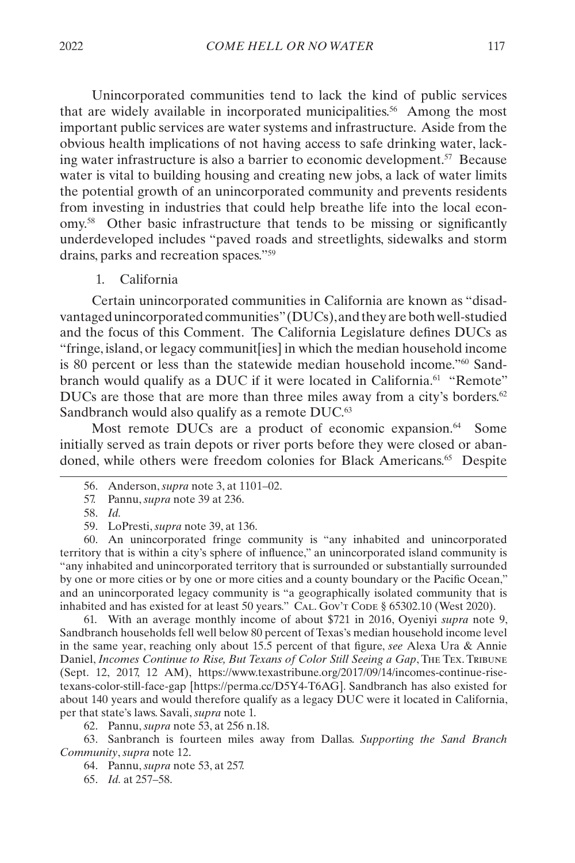<span id="page-9-0"></span>Unincorporated communities tend to lack the kind of public services that are widely available in incorporated municipalities.<sup>56</sup> Among the most important public services are water systems and infrastructure. Aside from the obvious health implications of not having access to safe drinking water, lacking water infrastructure is also a barrier to economic development.<sup>57</sup> Because water is vital to building housing and creating new jobs, a lack of water limits the potential growth of an unincorporated community and prevents residents from investing in industries that could help breathe life into the local economy.58 Other basic infrastructure that tends to be missing or significantly underdeveloped includes "paved roads and streetlights, sidewalks and storm drains, parks and recreation spaces."59

1. California

Certain unincorporated communities in California are known as "disadvantaged unincorporated communities" (DUCs), and they are both well-studied and the focus of this Comment. The California Legislature defines DUCs as "fringe, island, or legacy communit[ies] in which the median household income is 80 percent or less than the statewide median household income."60 Sandbranch would qualify as a DUC if it were located in California.<sup>61</sup> "Remote" DUCs are those that are more than three miles away from a city's borders. $62$ Sandbranch would also qualify as a remote DUC.<sup>63</sup>

Most remote DUCs are a product of economic expansion.<sup>64</sup> Some initially served as train depots or river ports before they were closed or abandoned, while others were freedom colonies for Black Americans.<sup>65</sup> Despite

60. An unincorporated fringe community is "any inhabited and unincorporated territory that is within a city's sphere of influence," an unincorporated island community is "any inhabited and unincorporated territory that is surrounded or substantially surrounded by one or more cities or by one or more cities and a county boundary or the Pacific Ocean," and an unincorporated legacy community is "a geographically isolated community that is inhabited and has existed for at least 50 years." CAL. Gov't Code § 65302.10 (West 2020).

61. With an average monthly income of about \$721 in 2016, Oyeniyi *supra* note 9, Sandbranch households fell well below 80 percent of Texas's median household income level in the same year, reaching only about 15.5 percent of that figure, *see* Alexa Ura & Annie Daniel, *Incomes Continue to Rise, But Texans of Color Still Seeing a Gap*, The Tex. Tribune (Sept. 12, 2017, 12 AM), https://www.texastribune.org/2017/09/14/incomes-continue-risetexans-color-still-face-gap [https://perma.cc/D5Y4-T6AG]. Sandbranch has also existed for about 140 years and would therefore qualify as a legacy DUC were it located in California, per that state's laws. Savali, *supra* note 1.

62. Pannu, *supra* note 53, at 256 n.18.

63. Sanbranch is fourteen miles away from Dallas. *Supporting the Sand Branch Community*, *supra* note 12.

64. Pannu, *supra* note 53, at 257.

65. *Id.* at 257–58.

<sup>56.</sup> Anderson, *supra* note 3, at 1101–02.

<sup>57.</sup> Pannu, *supra* note 39 at 236.

<sup>58.</sup> *Id.*

<sup>59.</sup> LoPresti, *supra* note 39, at 136.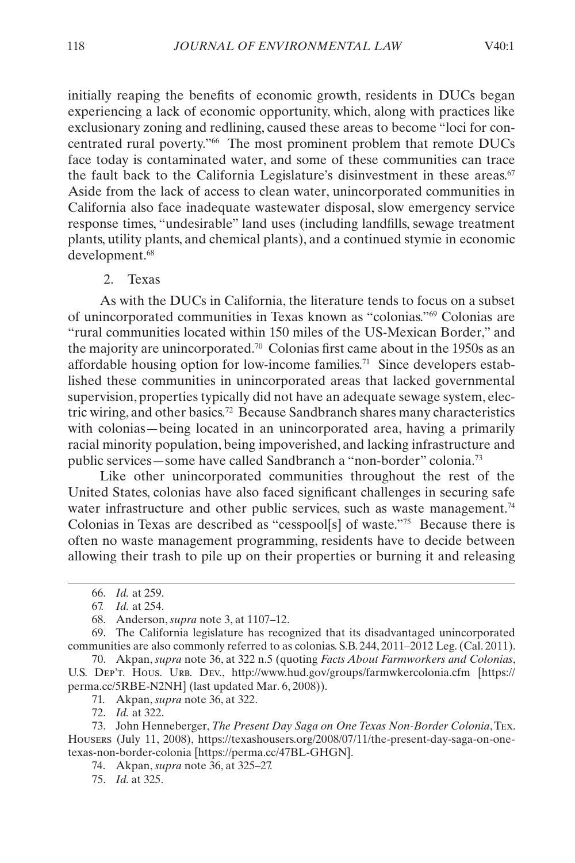<span id="page-10-0"></span>initially reaping the benefits of economic growth, residents in DUCs began experiencing a lack of economic opportunity, which, along with practices like exclusionary zoning and redlining, caused these areas to become "loci for concentrated rural poverty."66 The most prominent problem that remote DUCs face today is contaminated water, and some of these communities can trace the fault back to the California Legislature's disinvestment in these areas.<sup>67</sup> Aside from the lack of access to clean water, unincorporated communities in California also face inadequate wastewater disposal, slow emergency service response times, "undesirable" land uses (including landfills, sewage treatment plants, utility plants, and chemical plants), and a continued stymie in economic development.<sup>68</sup>

<span id="page-10-1"></span>2. Texas

As with the DUCs in California, the literature tends to focus on a subset of unincorporated communities in Texas known as "colonias."69 Colonias are "rural communities located within 150 miles of the US-Mexican Border," and the majority are unincorporated.70 Colonias first came about in the 1950s as an affordable housing option for low-income families.71 Since developers established these communities in unincorporated areas that lacked governmental supervision, properties typically did not have an adequate sewage system, electric wiring, and other basics.72 Because Sandbranch shares many characteristics with colonias—being located in an unincorporated area, having a primarily racial minority population, being impoverished, and lacking infrastructure and public services—some have called Sandbranch a "non-border" colonia.73

Like other unincorporated communities throughout the rest of the United States, colonias have also faced significant challenges in securing safe water infrastructure and other public services, such as waste management.<sup>74</sup> Colonias in Texas are described as "cesspool[s] of waste."75 Because there is often no waste management programming, residents have to decide between allowing their trash to pile up on their properties or burning it and releasing

69. The California legislature has recognized that its disadvantaged unincorporated communities are also commonly referred to as colonias. S.B. 244, 2011–2012 Leg. (Cal. 2011).

70. Akpan, *supra* note 36, at 322 n.5 (quoting *Facts About Farmworkers and Colonias*, U.S. Dep't. Hous. Urb. Dev., http://www.hud.gov/groups/farmwkercolonia.cfm [https:// perma.cc/5RBE-N2NH] (last updated Mar. 6, 2008)).

71. Akpan, *supra* note 36, at 322.

72. *Id.* at 322.

73. John Henneberger, *The Present Day Saga on One Texas Non-Border Colonia*, Tex. Housers (July 11, 2008), https://texashousers.org/2008/07/11/the-present-day-saga-on-onetexas-non-border-colonia [https://perma.cc/47BL-GHGN].

- 74. Akpan, *supra* note 36, at 325–27.
- 75. *Id.* at 325.

<sup>66.</sup> *Id.* at 259.

<sup>67.</sup> *Id.* at 254.

<sup>68.</sup> Anderson, *supra* note 3, at 1107–12.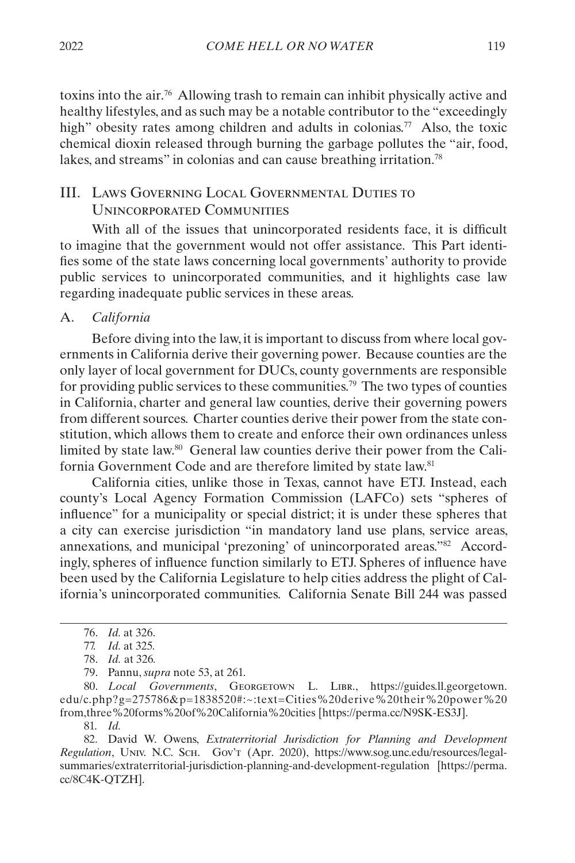<span id="page-11-0"></span>toxins into the air.76 Allowing trash to remain can inhibit physically active and healthy lifestyles, and as such may be a notable contributor to the "exceedingly high" obesity rates among children and adults in colonias.<sup>77</sup> Also, the toxic chemical dioxin released through burning the garbage pollutes the "air, food, lakes, and streams" in colonias and can cause breathing irritation.<sup>78</sup>

# <span id="page-11-1"></span>III. Laws Governing Local Governmental Duties to Unincorporated Communities

With all of the issues that unincorporated residents face, it is difficult to imagine that the government would not offer assistance. This Part identifies some of the state laws concerning local governments' authority to provide public services to unincorporated communities, and it highlights case law regarding inadequate public services in these areas.

# A. *California*

Before diving into the law, it is important to discuss from where local governments in California derive their governing power. Because counties are the only layer of local government for DUCs, county governments are responsible for providing public services to these communities.<sup>79</sup> The two types of counties in California, charter and general law counties, derive their governing powers from different sources. Charter counties derive their power from the state constitution, which allows them to create and enforce their own ordinances unless limited by state law.<sup>80</sup> General law counties derive their power from the California Government Code and are therefore limited by state law.<sup>81</sup>

California cities, unlike those in Texas, cannot have ETJ. Instead, each county's Local Agency Formation Commission (LAFCo) sets "spheres of influence" for a municipality or special district; it is under these spheres that a city can exercise jurisdiction "in mandatory land use plans, service areas, annexations, and municipal 'prezoning' of unincorporated areas."82 Accordingly, spheres of influence function similarly to ETJ. Spheres of influence have been used by the California Legislature to help cities address the plight of California's unincorporated communities. California Senate Bill 244 was passed

80. *Local Governments*, Georgetown L. Libr., https://guides.ll.georgetown. edu/c.php?g=275786&p=1838520#:~:text=Cities%20derive%20their%20power%20 from,three%20forms%20of%20California%20cities [https://perma.cc/N9SK-ES3J].

81. *Id.*

82. David W. Owens, *Extraterritorial Jurisdiction for Planning and Development Regulation*, Univ. N.C. Sch. Gov't (Apr. 2020), https://www.sog.unc.edu/resources/legalsummaries/extraterritorial-jurisdiction-planning-and-development-regulation [https://perma. cc/8C4K-QTZH].

<sup>76.</sup> *Id.* at 326.

<sup>77.</sup> *Id.* at 325*.*

<sup>78.</sup> *Id.* at 326*.*

<sup>79.</sup> Pannu, *supra* note 53, at 261.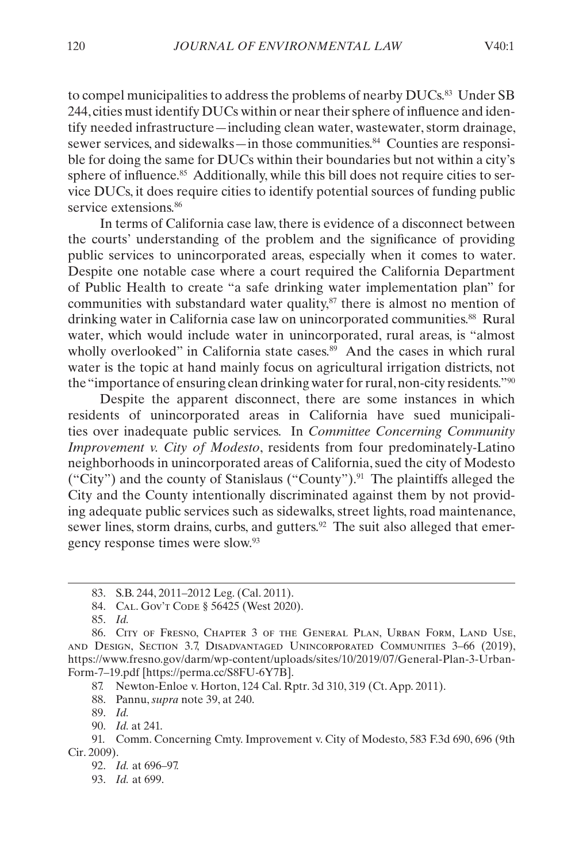to compel municipalities to address the problems of nearby DUCs.<sup>83</sup> Under SB 244, cities must identify DUCs within or near their sphere of influence and identify needed infrastructure—including clean water, wastewater, storm drainage, sewer services, and sidewalks—in those communities.<sup>84</sup> Counties are responsible for doing the same for DUCs within their boundaries but not within a city's sphere of influence.<sup>85</sup> Additionally, while this bill does not require cities to service DUCs, it does require cities to identify potential sources of funding public service extensions.<sup>86</sup>

In terms of California case law, there is evidence of a disconnect between the courts' understanding of the problem and the significance of providing public services to unincorporated areas, especially when it comes to water. Despite one notable case where a court required the California Department of Public Health to create "a safe drinking water implementation plan" for communities with substandard water quality, $s<sup>7</sup>$  there is almost no mention of drinking water in California case law on unincorporated communities.<sup>88</sup> Rural water, which would include water in unincorporated, rural areas, is "almost wholly overlooked" in California state cases. $89$  And the cases in which rural water is the topic at hand mainly focus on agricultural irrigation districts, not the "importance of ensuring clean drinking water for rural, non-city residents."90

Despite the apparent disconnect, there are some instances in which residents of unincorporated areas in California have sued municipalities over inadequate public services. In *Committee Concerning Community Improvement v. City of Modesto*, residents from four predominately-Latino neighborhoods in unincorporated areas of California, sued the city of Modesto ("City") and the county of Stanislaus ("County").<sup>91</sup> The plaintiffs alleged the City and the County intentionally discriminated against them by not providing adequate public services such as sidewalks, street lights, road maintenance, sewer lines, storm drains, curbs, and gutters.<sup>92</sup> The suit also alleged that emergency response times were slow.93

- 84. CAL. Gov't Code § 56425 (West 2020).
- 85. *Id.*

88. Pannu, *supra* note 39, at 240.

89. *Id.*

90. *Id.* at 241.

92. *Id.* at 696–97.

<sup>83.</sup> S.B. 244, 2011–2012 Leg. (Cal. 2011).

<sup>86.</sup> City of Fresno, Chapter 3 of the General Plan, Urban Form, Land Use, and Design, Section 3.7, Disadvantaged Unincorporated Communities 3–66 (2019), https://www.fresno.gov/darm/wp-content/uploads/sites/10/2019/07/General-Plan-3-Urban-Form-7–19.pdf [https://perma.cc/S8FU-6Y7B].

<sup>87.</sup> Newton-Enloe v. Horton, 124 Cal. Rptr. 3d 310, 319 (Ct. App. 2011).

<sup>91.</sup> Comm. Concerning Cmty. Improvement v. City of Modesto, 583 F.3d 690, 696 (9th Cir. 2009).

<sup>93.</sup> *Id.* at 699.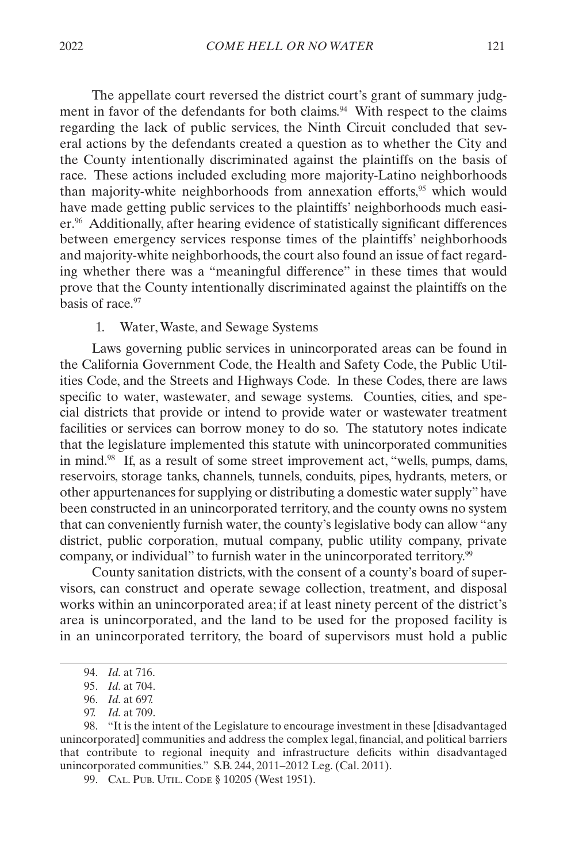<span id="page-13-0"></span>The appellate court reversed the district court's grant of summary judgment in favor of the defendants for both claims.<sup>94</sup> With respect to the claims regarding the lack of public services, the Ninth Circuit concluded that several actions by the defendants created a question as to whether the City and the County intentionally discriminated against the plaintiffs on the basis of race. These actions included excluding more majority-Latino neighborhoods than majority-white neighborhoods from annexation efforts,<sup>95</sup> which would have made getting public services to the plaintiffs' neighborhoods much easier.96 Additionally, after hearing evidence of statistically significant differences between emergency services response times of the plaintiffs' neighborhoods and majority-white neighborhoods, the court also found an issue of fact regarding whether there was a "meaningful difference" in these times that would prove that the County intentionally discriminated against the plaintiffs on the basis of race.97

#### 1. Water, Waste, and Sewage Systems

Laws governing public services in unincorporated areas can be found in the California Government Code, the Health and Safety Code, the Public Utilities Code, and the Streets and Highways Code. In these Codes, there are laws specific to water, wastewater, and sewage systems. Counties, cities, and special districts that provide or intend to provide water or wastewater treatment facilities or services can borrow money to do so. The statutory notes indicate that the legislature implemented this statute with unincorporated communities in mind.<sup>98</sup> If, as a result of some street improvement act, "wells, pumps, dams, reservoirs, storage tanks, channels, tunnels, conduits, pipes, hydrants, meters, or other appurtenances for supplying or distributing a domestic water supply" have been constructed in an unincorporated territory, and the county owns no system that can conveniently furnish water, the county's legislative body can allow "any district, public corporation, mutual company, public utility company, private company, or individual" to furnish water in the unincorporated territory.<sup>99</sup>

County sanitation districts, with the consent of a county's board of supervisors, can construct and operate sewage collection, treatment, and disposal works within an unincorporated area; if at least ninety percent of the district's area is unincorporated, and the land to be used for the proposed facility is in an unincorporated territory, the board of supervisors must hold a public

<sup>94.</sup> *Id.* at 716.

<sup>95.</sup> *Id.* at 704.

<sup>96.</sup> *Id.* at 697.

<sup>97.</sup> *Id.* at 709.

<sup>98.</sup> "It is the intent of the Legislature to encourage investment in these [disadvantaged unincorporated] communities and address the complex legal, financial, and political barriers that contribute to regional inequity and infrastructure deficits within disadvantaged unincorporated communities." S.B. 244, 2011–2012 Leg. (Cal. 2011).

<sup>99.</sup> CAL. PUB. UTIL. CODE § 10205 (West 1951).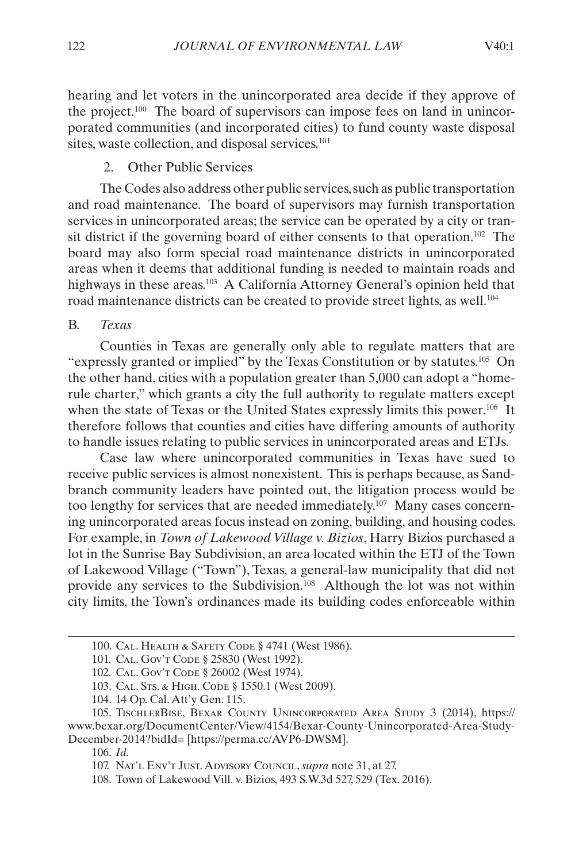<span id="page-14-0"></span>hearing and let voters in the unincorporated area decide if they approve of the project.100 The board of supervisors can impose fees on land in unincorporated communities (and incorporated cities) to fund county waste disposal sites, waste collection, and disposal services.<sup>101</sup>

#### 2. Other Public Services

The Codes also address other public services, such as public transportation and road maintenance. The board of supervisors may furnish transportation services in unincorporated areas; the service can be operated by a city or transit district if the governing board of either consents to that operation.<sup>102</sup> The board may also form special road maintenance districts in unincorporated areas when it deems that additional funding is needed to maintain roads and highways in these areas.<sup>103</sup> A California Attorney General's opinion held that road maintenance districts can be created to provide street lights, as well.<sup>104</sup>

#### B. *Texas*

Counties in Texas are generally only able to regulate matters that are "expressly granted or implied" by the Texas Constitution or by statutes.105 On the other hand, cities with a population greater than 5,000 can adopt a "homerule charter," which grants a city the full authority to regulate matters except when the state of Texas or the United States expressly limits this power.<sup>106</sup> It therefore follows that counties and cities have differing amounts of authority to handle issues relating to public services in unincorporated areas and ETJs.

Case law where unincorporated communities in Texas have sued to receive public services is almost nonexistent. This is perhaps because, as Sandbranch community leaders have pointed out, the litigation process would be too lengthy for services that are needed immediately.<sup>107</sup> Many cases concerning unincorporated areas focus instead on zoning, building, and housing codes. For example, in *Town of Lakewood Village v. Bizios*, Harry Bizios purchased a lot in the Sunrise Bay Subdivision, an area located within the ETJ of the Town of Lakewood Village ("Town"), Texas, a general-law municipality that did not provide any services to the Subdivision.<sup>108</sup> Although the lot was not within city limits, the Town's ordinances made its building codes enforceable within

<sup>100.</sup> Cal. Health & Safety Code § 4741 (West 1986).

<sup>101.</sup> CAL. Gov't Code § 25830 (West 1992).

<sup>102.</sup> CAL. Gov't Code § 26002 (West 1974).

<sup>103.</sup> CAL. STS. & HIGH. CODE § 1550.1 (West 2009).

<sup>104.</sup> 14 Op. Cal. Att'y Gen. 115.

<sup>105.</sup> TischlerBise, Bexar County Unincorporated Area Study 3 (2014), https:// www.bexar.org/DocumentCenter/View/4154/Bexar-County-Unincorporated-Area-Study-December-2014?bidId= [https://perma.cc/AVP6-DWSM].

<sup>106.</sup> *Id.*

<sup>107.</sup> Nat'l Env't Just. Advisory Council, *supra* note 31, at 27.

<sup>108.</sup> Town of Lakewood Vill. v. Bizios, 493 S.W.3d 527, 529 (Tex. 2016).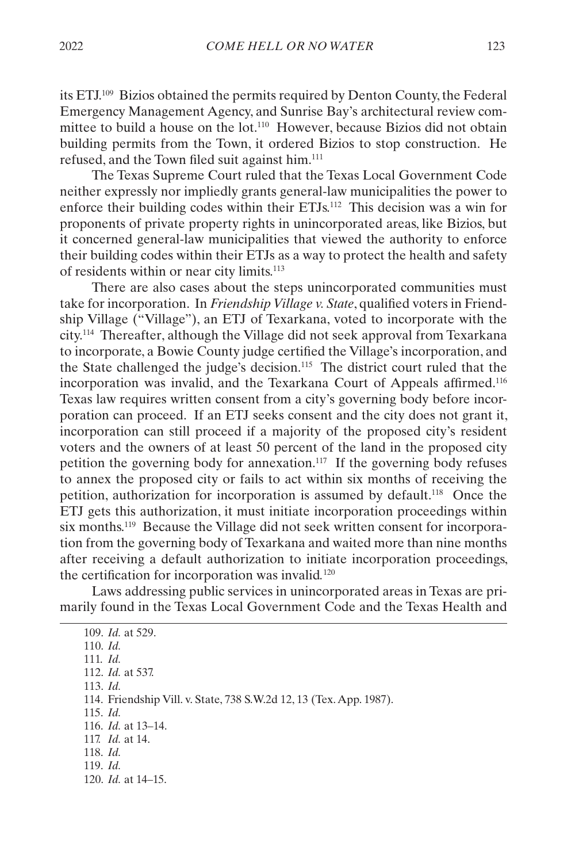its ETJ.109 Bizios obtained the permits required by Denton County, the Federal Emergency Management Agency, and Sunrise Bay's architectural review committee to build a house on the lot.110 However, because Bizios did not obtain building permits from the Town, it ordered Bizios to stop construction. He refused, and the Town filed suit against him.111

The Texas Supreme Court ruled that the Texas Local Government Code neither expressly nor impliedly grants general-law municipalities the power to enforce their building codes within their ETJs.112 This decision was a win for proponents of private property rights in unincorporated areas, like Bizios, but it concerned general-law municipalities that viewed the authority to enforce their building codes within their ETJs as a way to protect the health and safety of residents within or near city limits.113

There are also cases about the steps unincorporated communities must take for incorporation. In *Friendship Village v. State*, qualified voters in Friendship Village ("Village"), an ETJ of Texarkana, voted to incorporate with the city.114 Thereafter, although the Village did not seek approval from Texarkana to incorporate, a Bowie County judge certified the Village's incorporation, and the State challenged the judge's decision.115 The district court ruled that the incorporation was invalid, and the Texarkana Court of Appeals affirmed.116 Texas law requires written consent from a city's governing body before incorporation can proceed. If an ETJ seeks consent and the city does not grant it, incorporation can still proceed if a majority of the proposed city's resident voters and the owners of at least 50 percent of the land in the proposed city petition the governing body for annexation.117 If the governing body refuses to annex the proposed city or fails to act within six months of receiving the petition, authorization for incorporation is assumed by default.118 Once the ETJ gets this authorization, it must initiate incorporation proceedings within six months.119 Because the Village did not seek written consent for incorporation from the governing body of Texarkana and waited more than nine months after receiving a default authorization to initiate incorporation proceedings, the certification for incorporation was invalid*.* 120

Laws addressing public services in unincorporated areas in Texas are primarily found in the Texas Local Government Code and the Texas Health and

109. *Id.* at 529. 110. *Id.* 111. *Id.* 112. *Id.* at 537. 113. *Id.* 114. Friendship Vill. v. State, 738 S.W.2d 12, 13 (Tex. App. 1987). 115. *Id.* 116. *Id.* at 13–14. 117. *Id.* at 14. 118. *Id.* 119. *Id.* 120. *Id.* at 14–15.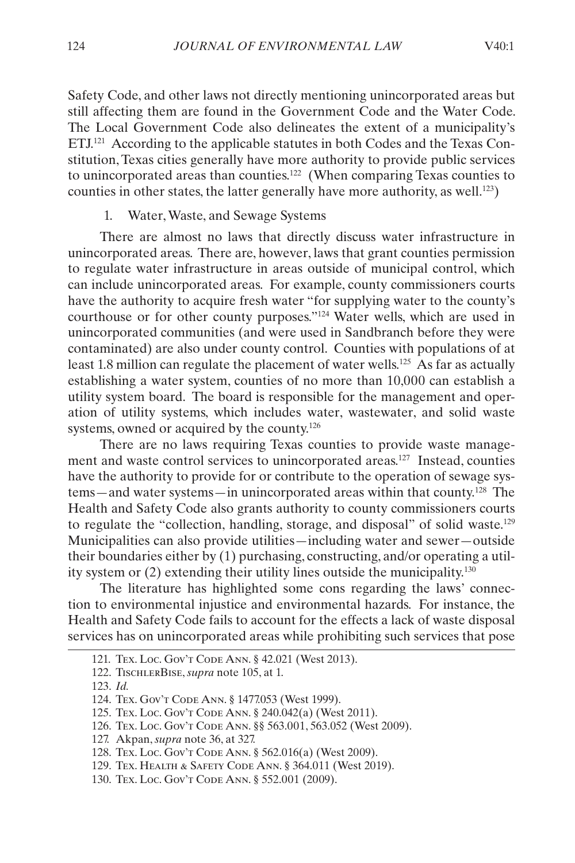<span id="page-16-0"></span>Safety Code, and other laws not directly mentioning unincorporated areas but still affecting them are found in the Government Code and the Water Code. The Local Government Code also delineates the extent of a municipality's ETJ.121 According to the applicable statutes in both Codes and the Texas Constitution, Texas cities generally have more authority to provide public services to unincorporated areas than counties.122 (When comparing Texas counties to counties in other states, the latter generally have more authority, as well.<sup>123</sup>)

#### 1. Water, Waste, and Sewage Systems

There are almost no laws that directly discuss water infrastructure in unincorporated areas. There are, however, laws that grant counties permission to regulate water infrastructure in areas outside of municipal control, which can include unincorporated areas. For example, county commissioners courts have the authority to acquire fresh water "for supplying water to the county's courthouse or for other county purposes."124 Water wells, which are used in unincorporated communities (and were used in Sandbranch before they were contaminated) are also under county control. Counties with populations of at least 1.8 million can regulate the placement of water wells.<sup>125</sup> As far as actually establishing a water system, counties of no more than 10,000 can establish a utility system board. The board is responsible for the management and operation of utility systems, which includes water, wastewater, and solid waste systems, owned or acquired by the county.<sup>126</sup>

There are no laws requiring Texas counties to provide waste management and waste control services to unincorporated areas.127 Instead, counties have the authority to provide for or contribute to the operation of sewage systems—and water systems—in unincorporated areas within that county.128 The Health and Safety Code also grants authority to county commissioners courts to regulate the "collection, handling, storage, and disposal" of solid waste.129 Municipalities can also provide utilities—including water and sewer—outside their boundaries either by (1) purchasing, constructing, and/or operating a utility system or (2) extending their utility lines outside the municipality.130

The literature has highlighted some cons regarding the laws' connection to environmental injustice and environmental hazards. For instance, the Health and Safety Code fails to account for the effects a lack of waste disposal services has on unincorporated areas while prohibiting such services that pose

<sup>121.</sup> Tex. Loc. Gov't Code Ann. § 42.021 (West 2013).

<sup>122.</sup> TischlerBise, *supra* note 105, at 1.

<sup>123.</sup> *Id.*

<sup>124.</sup> Tex. Gov't Code Ann. § 1477.053 (West 1999).

<sup>125.</sup> Tex. Loc. Gov't Code Ann. § 240.042(a) (West 2011).

<sup>126.</sup> Tex. Loc. Gov't Code Ann. §§ 563.001, 563.052 (West 2009).

<sup>127.</sup> Akpan, *supra* note 36, at 327.

<sup>128.</sup> Tex. Loc. Gov't Code Ann. § 562.016(a) (West 2009).

<sup>129.</sup> Tex. Health & Safety Code Ann. § 364.011 (West 2019).

<sup>130.</sup> Tex. Loc. Gov't Code Ann. § 552.001 (2009).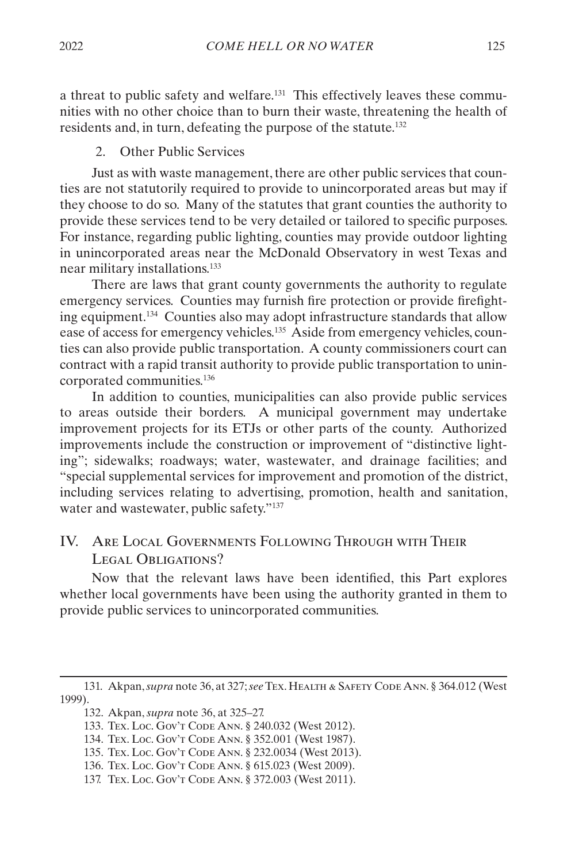<span id="page-17-0"></span>a threat to public safety and welfare.<sup>131</sup> This effectively leaves these communities with no other choice than to burn their waste, threatening the health of residents and, in turn, defeating the purpose of the statute.132

#### 2. Other Public Services

Just as with waste management, there are other public services that counties are not statutorily required to provide to unincorporated areas but may if they choose to do so. Many of the statutes that grant counties the authority to provide these services tend to be very detailed or tailored to specific purposes. For instance, regarding public lighting, counties may provide outdoor lighting in unincorporated areas near the McDonald Observatory in west Texas and near military installations.133

There are laws that grant county governments the authority to regulate emergency services. Counties may furnish fire protection or provide firefighting equipment.134 Counties also may adopt infrastructure standards that allow ease of access for emergency vehicles.<sup>135</sup> Aside from emergency vehicles, counties can also provide public transportation. A county commissioners court can contract with a rapid transit authority to provide public transportation to unincorporated communities.136

In addition to counties, municipalities can also provide public services to areas outside their borders. A municipal government may undertake improvement projects for its ETJs or other parts of the county. Authorized improvements include the construction or improvement of "distinctive lighting"; sidewalks; roadways; water, wastewater, and drainage facilities; and "special supplemental services for improvement and promotion of the district, including services relating to advertising, promotion, health and sanitation, water and wastewater, public safety."<sup>137</sup>

# <span id="page-17-1"></span>IV. Are Local Governments Following Through with Their LEGAL OBLIGATIONS?

Now that the relevant laws have been identified, this Part explores whether local governments have been using the authority granted in them to provide public services to unincorporated communities.

<sup>131.</sup> Akpan, *supra* note 36, at 327; *see* Tex. Health & Safety Code Ann. § 364.012 (West 1999).

<sup>132.</sup> Akpan, *supra* note 36, at 325–27.

<sup>133.</sup> Tex. Loc. Gov't Code Ann. § 240.032 (West 2012).

<sup>134.</sup> Tex. Loc. Gov't Code Ann. § 352.001 (West 1987).

<sup>135.</sup> Tex. Loc. Gov't Code Ann. § 232.0034 (West 2013).

<sup>136.</sup> Tex. Loc. Gov't Code Ann. § 615.023 (West 2009).

<sup>137.</sup> Tex. Loc. Gov't Code Ann. § 372.003 (West 2011).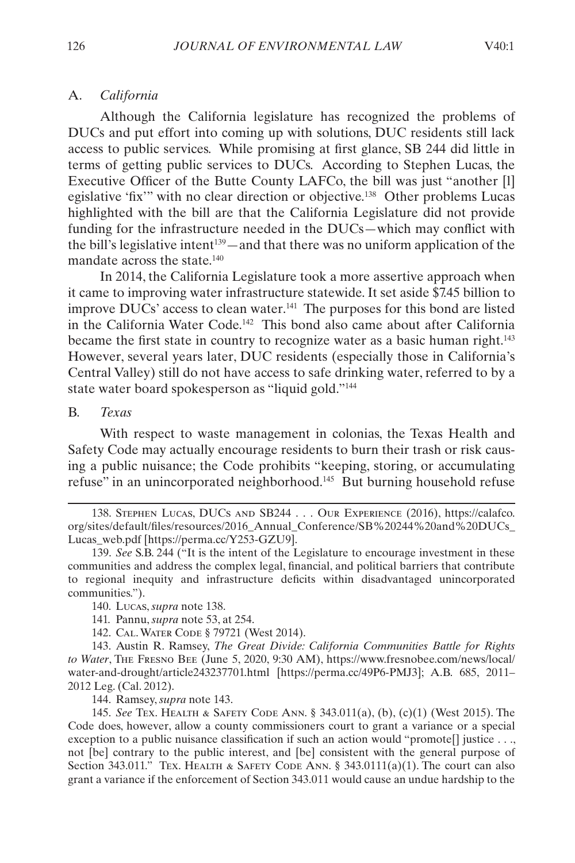#### <span id="page-18-0"></span>A. *California*

Although the California legislature has recognized the problems of DUCs and put effort into coming up with solutions, DUC residents still lack access to public services. While promising at first glance, SB 244 did little in terms of getting public services to DUCs. According to Stephen Lucas, the Executive Officer of the Butte County LAFCo, the bill was just "another [l] egislative 'fix'" with no clear direction or objective.<sup>138</sup> Other problems Lucas highlighted with the bill are that the California Legislature did not provide funding for the infrastructure needed in the DUCs—which may conflict with the bill's legislative intent<sup>139</sup>—and that there was no uniform application of the mandate across the state.140

In 2014, the California Legislature took a more assertive approach when it came to improving water infrastructure statewide. It set aside \$7.45 billion to improve DUCs' access to clean water.141 The purposes for this bond are listed in the California Water Code.142 This bond also came about after California became the first state in country to recognize water as a basic human right.<sup>143</sup> However, several years later, DUC residents (especially those in California's Central Valley) still do not have access to safe drinking water, referred to by a state water board spokesperson as "liquid gold."144

#### B. *Texas*

With respect to waste management in colonias, the Texas Health and Safety Code may actually encourage residents to burn their trash or risk causing a public nuisance; the Code prohibits "keeping, storing, or accumulating refuse" in an unincorporated neighborhood.145 But burning household refuse

138. STEPHEN LUCAS, DUCS AND SB244 . . . OUR EXPERIENCE (2016), https://calafco. org/sites/default/files/resources/2016\_Annual\_Conference/SB%20244%20and%20DUCs\_ Lucas\_web.pdf [https://perma.cc/Y253-GZU9].

139. *See* S.B. 244 ("It is the intent of the Legislature to encourage investment in these communities and address the complex legal, financial, and political barriers that contribute to regional inequity and infrastructure deficits within disadvantaged unincorporated communities.").

142. Cal. Water Code § 79721 (West 2014).

143. Austin R. Ramsey, *The Great Divide: California Communities Battle for Rights to Water*, The Fresno Bee (June 5, 2020, 9:30 AM), https://www.fresnobee.com/news/local/ water-and-drought/article243237701.html [https://perma.cc/49P6-PMJ3]; A.B. 685, 2011– 2012 Leg. (Cal. 2012).

144. Ramsey, *supra* note 143.

145. *See* Tex. Health & Safety Code Ann. § 343.011(a), (b), (c)(1) (West 2015). The Code does, however, allow a county commissioners court to grant a variance or a special exception to a public nuisance classification if such an action would "promote<sup>[]</sup> justice . . ., not [be] contrary to the public interest, and [be] consistent with the general purpose of Section 343.011." Tex. HEALTH & SAFETY CODE ANN. § 343.0111(a)(1). The court can also grant a variance if the enforcement of Section 343.011 would cause an undue hardship to the

<sup>140.</sup> Lucas, *supra* note 138.

<sup>141.</sup> Pannu, *supra* note 53, at 254.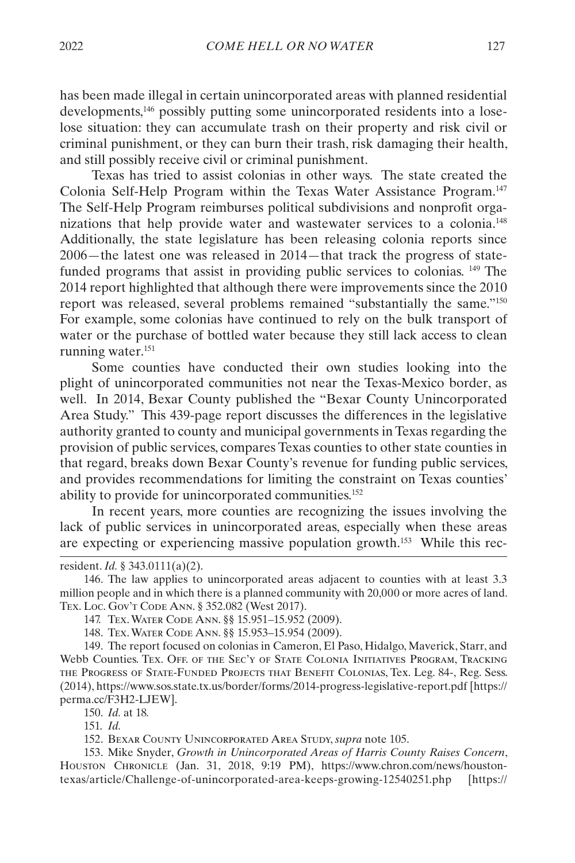has been made illegal in certain unincorporated areas with planned residential developments,146 possibly putting some unincorporated residents into a loselose situation: they can accumulate trash on their property and risk civil or criminal punishment, or they can burn their trash, risk damaging their health, and still possibly receive civil or criminal punishment.

Texas has tried to assist colonias in other ways. The state created the Colonia Self-Help Program within the Texas Water Assistance Program.147 The Self-Help Program reimburses political subdivisions and nonprofit organizations that help provide water and wastewater services to a colonia.148 Additionally, the state legislature has been releasing colonia reports since 2006—the latest one was released in 2014—that track the progress of statefunded programs that assist in providing public services to colonias. 149 The 2014 report highlighted that although there were improvements since the 2010 report was released, several problems remained "substantially the same."150 For example, some colonias have continued to rely on the bulk transport of water or the purchase of bottled water because they still lack access to clean running water.<sup>151</sup>

Some counties have conducted their own studies looking into the plight of unincorporated communities not near the Texas-Mexico border, as well. In 2014, Bexar County published the "Bexar County Unincorporated Area Study." This 439-page report discusses the differences in the legislative authority granted to county and municipal governments in Texas regarding the provision of public services, compares Texas counties to other state counties in that regard, breaks down Bexar County's revenue for funding public services, and provides recommendations for limiting the constraint on Texas counties' ability to provide for unincorporated communities.152

In recent years, more counties are recognizing the issues involving the lack of public services in unincorporated areas, especially when these areas are expecting or experiencing massive population growth.153 While this rec-

149. The report focused on colonias in Cameron, El Paso, Hidalgo, Maverick, Starr, and Webb Counties. Tex. Off. of the Sec'y of State Colonia Initiatives Program, Tracking the Progress of State-Funded Projects that Benefit Colonias, Tex. Leg. 84-, Reg. Sess. (2014), https://www.sos.state.tx.us/border/forms/2014-progress-legislative-report.pdf [https:// perma.cc/F3H2-LJEW].

150. *Id.* at 18*.*

151. *Id.*

152. Bexar County Unincorporated Area Study, *supra* note 105.

153. Mike Snyder, *Growth in Unincorporated Areas of Harris County Raises Concern*, Houston Chronicle (Jan. 31, 2018, 9:19 PM), https://www.chron.com/news/houstontexas/article/Challenge-of-unincorporated-area-keeps-growing-12540251.php [https://

resident. *Id.* § 343.0111(a)(2).

<sup>146.</sup> The law applies to unincorporated areas adjacent to counties with at least 3.3 million people and in which there is a planned community with 20,000 or more acres of land. TEX. Loc. Gov't Code Ann. § 352.082 (West 2017).

<sup>147.</sup> Tex. Water Code Ann. §§ 15.951–15.952 (2009).

<sup>148.</sup> Tex. Water Code Ann. §§ 15.953–15.954 (2009).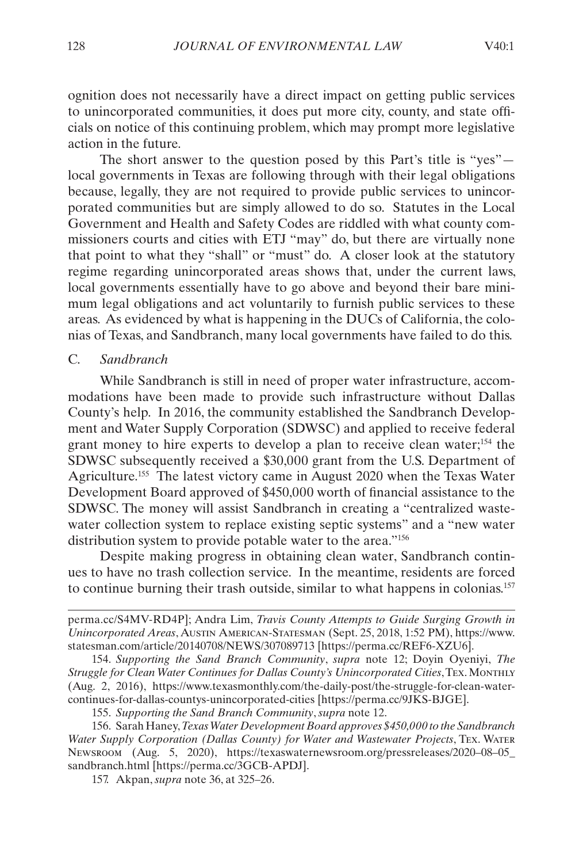<span id="page-20-0"></span>ognition does not necessarily have a direct impact on getting public services to unincorporated communities, it does put more city, county, and state officials on notice of this continuing problem, which may prompt more legislative action in the future.

The short answer to the question posed by this Part's title is "yes" local governments in Texas are following through with their legal obligations because, legally, they are not required to provide public services to unincorporated communities but are simply allowed to do so. Statutes in the Local Government and Health and Safety Codes are riddled with what county commissioners courts and cities with ETJ "may" do, but there are virtually none that point to what they "shall" or "must" do. A closer look at the statutory regime regarding unincorporated areas shows that, under the current laws, local governments essentially have to go above and beyond their bare minimum legal obligations and act voluntarily to furnish public services to these areas. As evidenced by what is happening in the DUCs of California, the colonias of Texas, and Sandbranch, many local governments have failed to do this.

#### C. *Sandbranch*

While Sandbranch is still in need of proper water infrastructure, accommodations have been made to provide such infrastructure without Dallas County's help. In 2016, the community established the Sandbranch Development and Water Supply Corporation (SDWSC) and applied to receive federal grant money to hire experts to develop a plan to receive clean water;<sup>154</sup> the SDWSC subsequently received a \$30,000 grant from the U.S. Department of Agriculture.155 The latest victory came in August 2020 when the Texas Water Development Board approved of \$450,000 worth of financial assistance to the SDWSC. The money will assist Sandbranch in creating a "centralized wastewater collection system to replace existing septic systems" and a "new water distribution system to provide potable water to the area."<sup>156</sup>

Despite making progress in obtaining clean water, Sandbranch continues to have no trash collection service. In the meantime, residents are forced to continue burning their trash outside, similar to what happens in colonias.157

157. Akpan, *supra* note 36, at 325–26.

perma.cc/S4MV-RD4P]; Andra Lim, *Travis County Attempts to Guide Surging Growth in Unincorporated Areas*, Austin American-Statesman (Sept. 25, 2018, 1:52 PM), https://www. statesman.com/article/20140708/NEWS/307089713 [https://perma.cc/REF6-XZU6].

<sup>154.</sup> *Supporting the Sand Branch Community*, *supra* note 12; Doyin Oyeniyi, *The Struggle for Clean Water Continues for Dallas County's Unincorporated Cities*, Tex. Monthly (Aug. 2, 2016), https://www.texasmonthly.com/the-daily-post/the-struggle-for-clean-watercontinues-for-dallas-countys-unincorporated-cities [https://perma.cc/9JKS-BJGE].

<sup>155.</sup> *Supporting the Sand Branch Community*, *supra* note 12.

<sup>156.</sup> Sarah Haney, *Texas Water Development Board approves \$450,000 to the Sandbranch Water Supply Corporation (Dallas County) for Water and Wastewater Projects*, Tex. Water Newsroom (Aug. 5, 2020), https://texaswaternewsroom.org/pressreleases/2020–08–05\_ sandbranch.html [https://perma.cc/3GCB-APDJ].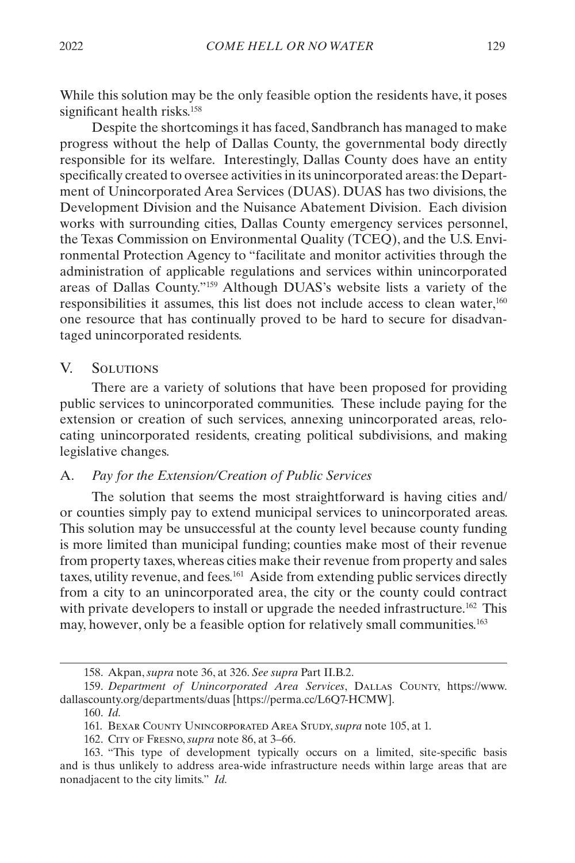<span id="page-21-0"></span>While this solution may be the only feasible option the residents have, it poses significant health risks.<sup>158</sup>

Despite the shortcomings it has faced, Sandbranch has managed to make progress without the help of Dallas County, the governmental body directly responsible for its welfare. Interestingly, Dallas County does have an entity specifically created to oversee activities in its unincorporated areas: the Department of Unincorporated Area Services (DUAS). DUAS has two divisions, the Development Division and the Nuisance Abatement Division. Each division works with surrounding cities, Dallas County emergency services personnel, the Texas Commission on Environmental Quality (TCEQ), and the U.S. Environmental Protection Agency to "facilitate and monitor activities through the administration of applicable regulations and services within unincorporated areas of Dallas County."159 Although DUAS's website lists a variety of the responsibilities it assumes, this list does not include access to clean water,160 one resource that has continually proved to be hard to secure for disadvantaged unincorporated residents.

#### <span id="page-21-1"></span>V. Solutions

There are a variety of solutions that have been proposed for providing public services to unincorporated communities. These include paying for the extension or creation of such services, annexing unincorporated areas, relocating unincorporated residents, creating political subdivisions, and making legislative changes.

#### A. *Pay for the Extension/Creation of Public Services*

The solution that seems the most straightforward is having cities and/ or counties simply pay to extend municipal services to unincorporated areas. This solution may be unsuccessful at the county level because county funding is more limited than municipal funding; counties make most of their revenue from property taxes, whereas cities make their revenue from property and sales taxes, utility revenue, and fees.161 Aside from extending public services directly from a city to an unincorporated area, the city or the county could contract with private developers to install or upgrade the needed infrastructure.<sup>162</sup> This may, however, only be a feasible option for relatively small communities.<sup>163</sup>

<sup>158.</sup> Akpan, *supra* note 36, at 326. *See supra* Part [II.B.2.](#page-10-1)

<sup>159.</sup> *Department of Unincorporated Area Services*, Dallas County, https://www. dallascounty.org/departments/duas [https://perma.cc/L6Q7-HCMW].

<sup>160.</sup> *Id.*

<sup>161.</sup> Bexar County Unincorporated Area Study, *supra* note 105, at 1.

<sup>162.</sup> City of Fresno, *supra* note 86, at 3–66.

<sup>163.</sup> "This type of development typically occurs on a limited, site-specific basis and is thus unlikely to address area-wide infrastructure needs within large areas that are nonadjacent to the city limits." *Id.*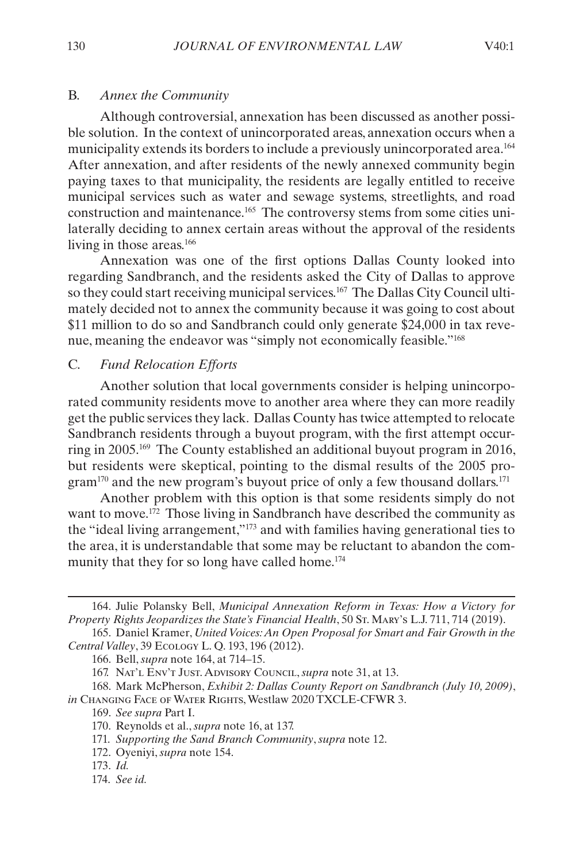#### <span id="page-22-0"></span>B. *Annex the Community*

Although controversial, annexation has been discussed as another possible solution. In the context of unincorporated areas, annexation occurs when a municipality extends its borders to include a previously unincorporated area.<sup>164</sup> After annexation, and after residents of the newly annexed community begin paying taxes to that municipality, the residents are legally entitled to receive municipal services such as water and sewage systems, streetlights, and road construction and maintenance.165 The controversy stems from some cities unilaterally deciding to annex certain areas without the approval of the residents living in those areas.<sup>166</sup>

Annexation was one of the first options Dallas County looked into regarding Sandbranch, and the residents asked the City of Dallas to approve so they could start receiving municipal services.<sup>167</sup> The Dallas City Council ultimately decided not to annex the community because it was going to cost about \$11 million to do so and Sandbranch could only generate \$24,000 in tax revenue, meaning the endeavor was "simply not economically feasible."168

#### C. *Fund Relocation Efforts*

Another solution that local governments consider is helping unincorporated community residents move to another area where they can more readily get the public services they lack. Dallas County has twice attempted to relocate Sandbranch residents through a buyout program, with the first attempt occurring in 2005.169 The County established an additional buyout program in 2016, but residents were skeptical, pointing to the dismal results of the 2005 program<sup>170</sup> and the new program's buyout price of only a few thousand dollars.<sup>171</sup>

Another problem with this option is that some residents simply do not want to move.<sup>172</sup> Those living in Sandbranch have described the community as the "ideal living arrangement,"173 and with families having generational ties to the area, it is understandable that some may be reluctant to abandon the community that they for so long have called home.<sup>174</sup>

<sup>164.</sup> Julie Polansky Bell, *Municipal Annexation Reform in Texas: How a Victory for Property Rights Jeopardizes the State's Financial Health*, 50 St. MARY's L.J. 711, 714 (2019).

<sup>165.</sup> Daniel Kramer, *United Voices: An Open Proposal for Smart and Fair Growth in the Central Valley*, 39 Ecology L. Q. 193, 196 (2012).

<sup>166.</sup> Bell, *supra* note 164, at 714–15.

<sup>167.</sup> Nat'l Env't Just. Advisory Council, *supra* note 31, at 13.

<sup>168.</sup> Mark McPherson, *Exhibit 2: Dallas County Report on Sandbranch (July 10, 2009)*, *in* Changing Face of Water Rights, Westlaw 2020 TXCLE-CFWR 3.

<sup>169.</sup> *See supra* Part [I](#page-3-1).

<sup>170.</sup> Reynolds et al., *supra* note 16, at 137.

<sup>171.</sup> *Supporting the Sand Branch Community*, *supra* note 12.

<sup>172.</sup> Oyeniyi, *supra* note 154.

<sup>173.</sup> *Id.*

<sup>174.</sup> *See id.*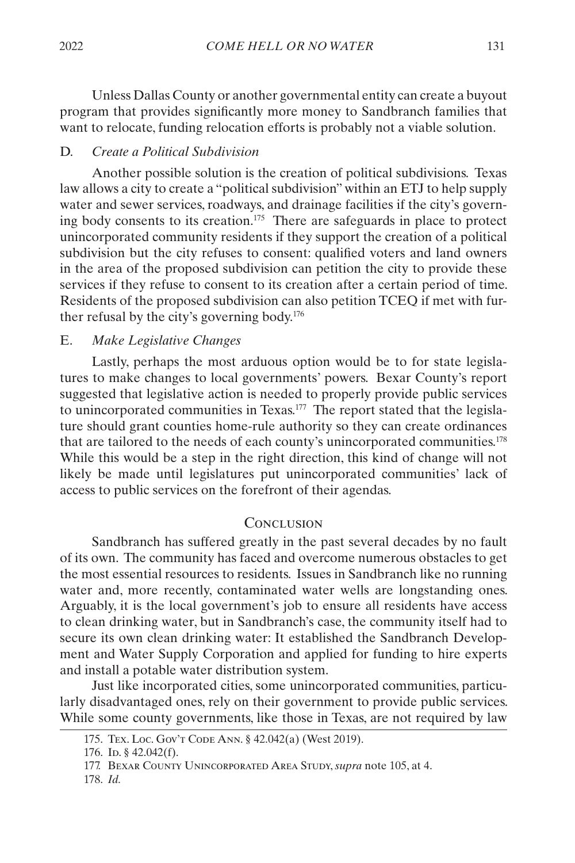<span id="page-23-0"></span>Unless Dallas County or another governmental entity can create a buyout program that provides significantly more money to Sandbranch families that want to relocate, funding relocation efforts is probably not a viable solution.

#### D. *Create a Political Subdivision*

Another possible solution is the creation of political subdivisions. Texas law allows a city to create a "political subdivision" within an ETJ to help supply water and sewer services, roadways, and drainage facilities if the city's governing body consents to its creation.175 There are safeguards in place to protect unincorporated community residents if they support the creation of a political subdivision but the city refuses to consent: qualified voters and land owners in the area of the proposed subdivision can petition the city to provide these services if they refuse to consent to its creation after a certain period of time. Residents of the proposed subdivision can also petition TCEQ if met with further refusal by the city's governing body.176

#### E. *Make Legislative Changes*

Lastly, perhaps the most arduous option would be to for state legislatures to make changes to local governments' powers. Bexar County's report suggested that legislative action is needed to properly provide public services to unincorporated communities in Texas.177 The report stated that the legislature should grant counties home-rule authority so they can create ordinances that are tailored to the needs of each county's unincorporated communities.178 While this would be a step in the right direction, this kind of change will not likely be made until legislatures put unincorporated communities' lack of access to public services on the forefront of their agendas.

#### **CONCLUSION**

Sandbranch has suffered greatly in the past several decades by no fault of its own. The community has faced and overcome numerous obstacles to get the most essential resources to residents. Issues in Sandbranch like no running water and, more recently, contaminated water wells are longstanding ones. Arguably, it is the local government's job to ensure all residents have access to clean drinking water, but in Sandbranch's case, the community itself had to secure its own clean drinking water: It established the Sandbranch Development and Water Supply Corporation and applied for funding to hire experts and install a potable water distribution system.

Just like incorporated cities, some unincorporated communities, particularly disadvantaged ones, rely on their government to provide public services. While some county governments, like those in Texas, are not required by law

<sup>175.</sup> Tex. Loc. Gov't Code Ann. § 42.042(a) (West 2019).

<sup>176.</sup> ID. § 42.042(f).

<sup>177.</sup> Bexar County Unincorporated Area Study, *supra* note 105, at 4.

<sup>178.</sup> *Id.*